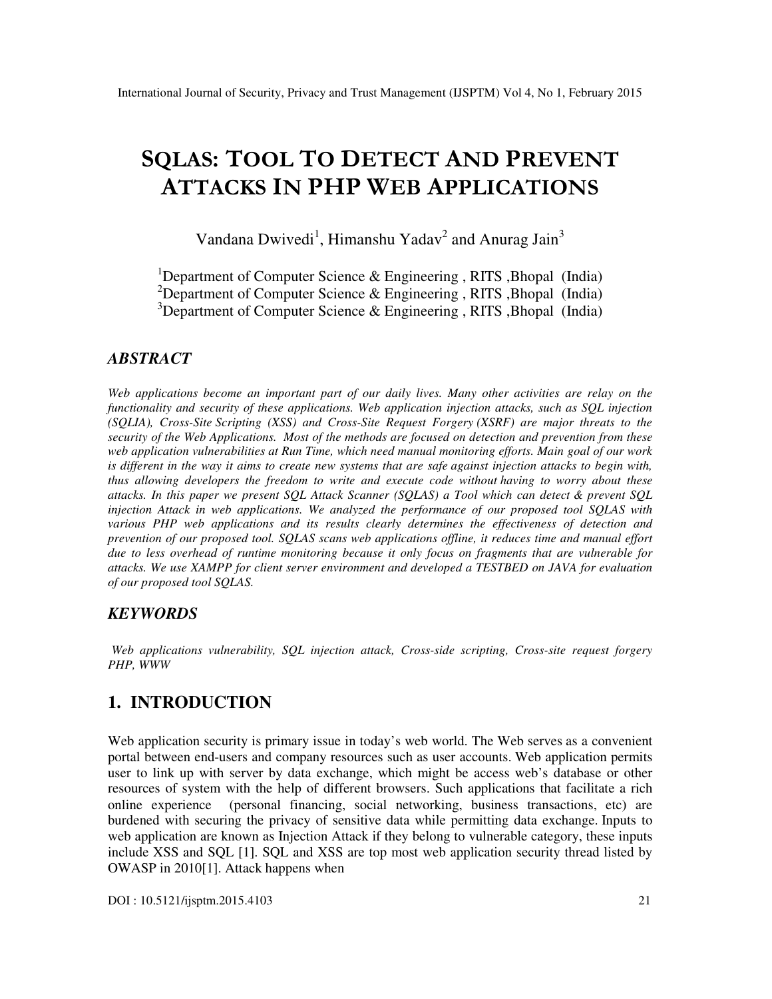# **SQLAS: TOOL TO DETECT AND PREVENT ATTACKS IN PHP WEB APPLICATIONS**

Vandana Dwivedi<sup>1</sup>, Himanshu Yadav<sup>2</sup> and Anurag Jain<sup>3</sup>

<sup>1</sup>Department of Computer Science & Engineering, RITS, Bhopal (India) <sup>2</sup>Department of Computer Science & Engineering , RITS , Bhopal (India) <sup>3</sup>Department of Computer Science & Engineering, RITS, Bhopal (India)

#### *ABSTRACT*

*Web applications become an important part of our daily lives. Many other activities are relay on the functionality and security of these applications. Web application injection attacks, such as SQL injection (SQLIA), Cross-Site Scripting (XSS) and Cross-Site Request Forgery (XSRF) are major threats to the security of the Web Applications. Most of the methods are focused on detection and prevention from these web application vulnerabilities at Run Time, which need manual monitoring efforts. Main goal of our work is different in the way it aims to create new systems that are safe against injection attacks to begin with, thus allowing developers the freedom to write and execute code without having to worry about these attacks. In this paper we present SQL Attack Scanner (SQLAS) a Tool which can detect & prevent SQL injection Attack in web applications. We analyzed the performance of our proposed tool SQLAS with various PHP web applications and its results clearly determines the effectiveness of detection and prevention of our proposed tool. SQLAS scans web applications offline, it reduces time and manual effort due to less overhead of runtime monitoring because it only focus on fragments that are vulnerable for attacks. We use XAMPP for client server environment and developed a TESTBED on JAVA for evaluation of our proposed tool SQLAS.* 

#### *KEYWORDS*

*Web applications vulnerability, SQL injection attack, Cross-side scripting, Cross-site request forgery PHP, WWW* 

#### **1. INTRODUCTION**

Web application security is primary issue in today's web world. The Web serves as a convenient portal between end-users and company resources such as user accounts. Web application permits user to link up with server by data exchange, which might be access web's database or other resources of system with the help of different browsers. Such applications that facilitate a rich online experience (personal financing, social networking, business transactions, etc) are burdened with securing the privacy of sensitive data while permitting data exchange. Inputs to web application are known as Injection Attack if they belong to vulnerable category, these inputs include XSS and SQL [1]. SQL and XSS are top most web application security thread listed by OWASP in 2010[1]. Attack happens when

DOI : 10.5121/ijsptm.2015.4103 21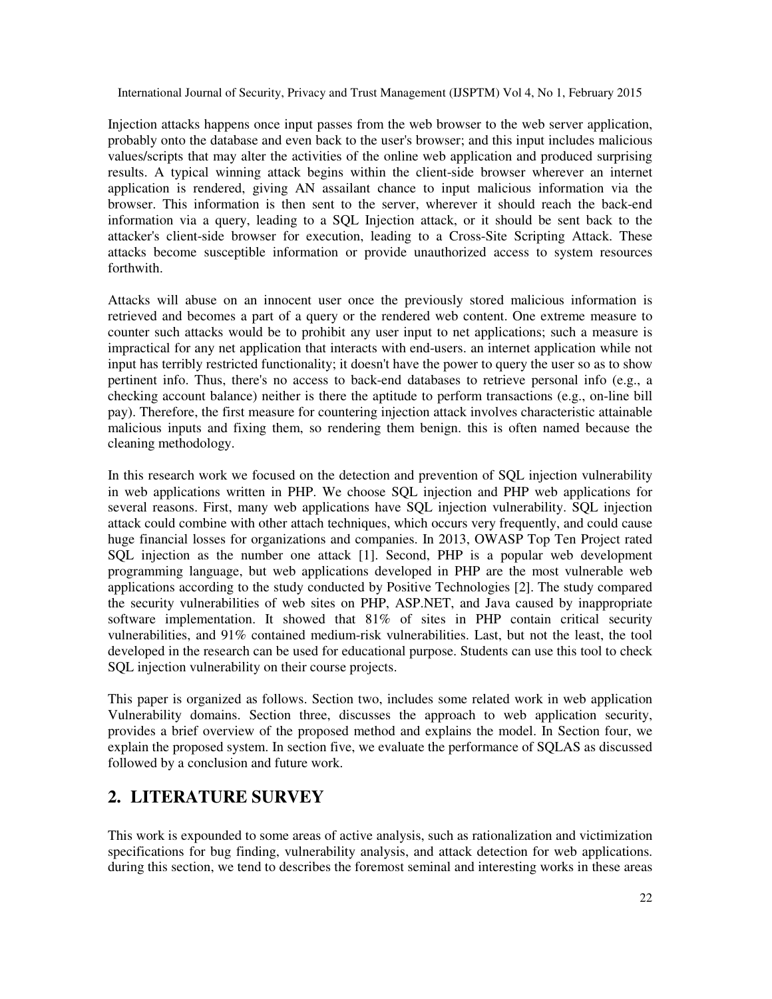Injection attacks happens once input passes from the web browser to the web server application, probably onto the database and even back to the user's browser; and this input includes malicious values/scripts that may alter the activities of the online web application and produced surprising results. A typical winning attack begins within the client-side browser wherever an internet application is rendered, giving AN assailant chance to input malicious information via the browser. This information is then sent to the server, wherever it should reach the back-end information via a query, leading to a SQL Injection attack, or it should be sent back to the attacker's client-side browser for execution, leading to a Cross-Site Scripting Attack. These attacks become susceptible information or provide unauthorized access to system resources forthwith.

Attacks will abuse on an innocent user once the previously stored malicious information is retrieved and becomes a part of a query or the rendered web content. One extreme measure to counter such attacks would be to prohibit any user input to net applications; such a measure is impractical for any net application that interacts with end-users. an internet application while not input has terribly restricted functionality; it doesn't have the power to query the user so as to show pertinent info. Thus, there's no access to back-end databases to retrieve personal info (e.g., a checking account balance) neither is there the aptitude to perform transactions (e.g., on-line bill pay). Therefore, the first measure for countering injection attack involves characteristic attainable malicious inputs and fixing them, so rendering them benign. this is often named because the cleaning methodology.

In this research work we focused on the detection and prevention of SQL injection vulnerability in web applications written in PHP. We choose SQL injection and PHP web applications for several reasons. First, many web applications have SQL injection vulnerability. SQL injection attack could combine with other attach techniques, which occurs very frequently, and could cause huge financial losses for organizations and companies. In 2013, OWASP Top Ten Project rated SQL injection as the number one attack [1]. Second, PHP is a popular web development programming language, but web applications developed in PHP are the most vulnerable web applications according to the study conducted by Positive Technologies [2]. The study compared the security vulnerabilities of web sites on PHP, ASP.NET, and Java caused by inappropriate software implementation. It showed that 81% of sites in PHP contain critical security vulnerabilities, and 91% contained medium-risk vulnerabilities. Last, but not the least, the tool developed in the research can be used for educational purpose. Students can use this tool to check SQL injection vulnerability on their course projects.

This paper is organized as follows. Section two, includes some related work in web application Vulnerability domains. Section three, discusses the approach to web application security, provides a brief overview of the proposed method and explains the model. In Section four, we explain the proposed system. In section five, we evaluate the performance of SQLAS as discussed followed by a conclusion and future work.

## **2. LITERATURE SURVEY**

This work is expounded to some areas of active analysis, such as rationalization and victimization specifications for bug finding, vulnerability analysis, and attack detection for web applications. during this section, we tend to describes the foremost seminal and interesting works in these areas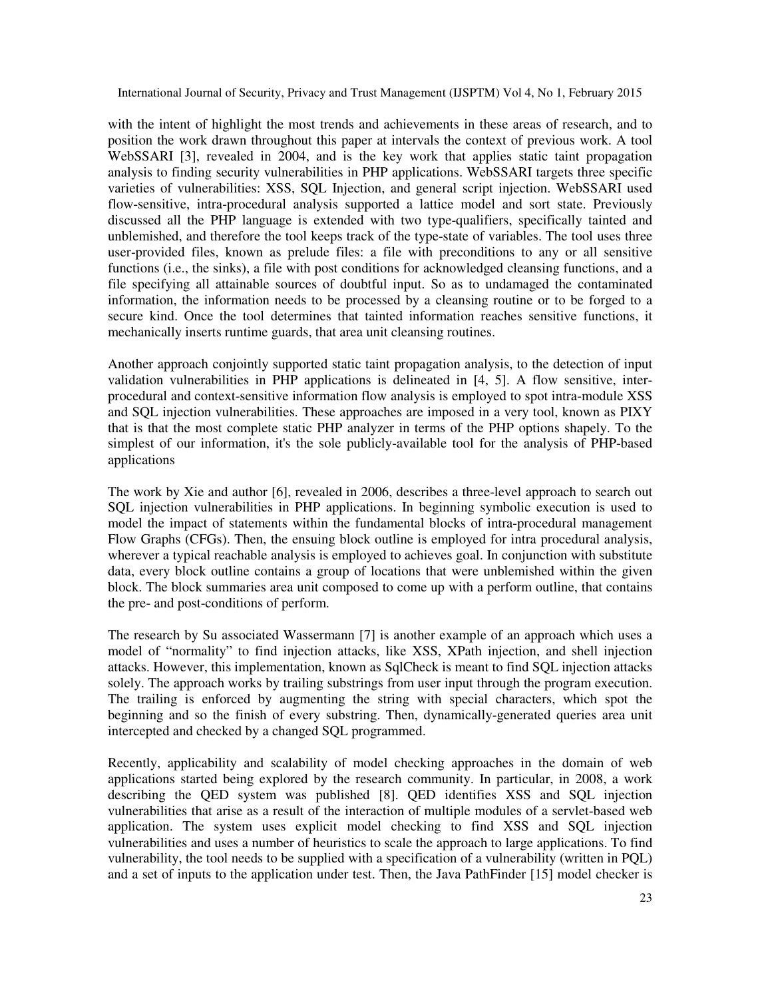with the intent of highlight the most trends and achievements in these areas of research, and to position the work drawn throughout this paper at intervals the context of previous work. A tool WebSSARI [3], revealed in 2004, and is the key work that applies static taint propagation analysis to finding security vulnerabilities in PHP applications. WebSSARI targets three specific varieties of vulnerabilities: XSS, SQL Injection, and general script injection. WebSSARI used flow-sensitive, intra-procedural analysis supported a lattice model and sort state. Previously discussed all the PHP language is extended with two type-qualifiers, specifically tainted and unblemished, and therefore the tool keeps track of the type-state of variables. The tool uses three user-provided files, known as prelude files: a file with preconditions to any or all sensitive functions (i.e., the sinks), a file with post conditions for acknowledged cleansing functions, and a file specifying all attainable sources of doubtful input. So as to undamaged the contaminated information, the information needs to be processed by a cleansing routine or to be forged to a secure kind. Once the tool determines that tainted information reaches sensitive functions, it mechanically inserts runtime guards, that area unit cleansing routines.

Another approach conjointly supported static taint propagation analysis, to the detection of input validation vulnerabilities in PHP applications is delineated in [4, 5]. A flow sensitive, interprocedural and context-sensitive information flow analysis is employed to spot intra-module XSS and SQL injection vulnerabilities. These approaches are imposed in a very tool, known as PIXY that is that the most complete static PHP analyzer in terms of the PHP options shapely. To the simplest of our information, it's the sole publicly-available tool for the analysis of PHP-based applications

The work by Xie and author [6], revealed in 2006, describes a three-level approach to search out SQL injection vulnerabilities in PHP applications. In beginning symbolic execution is used to model the impact of statements within the fundamental blocks of intra-procedural management Flow Graphs (CFGs). Then, the ensuing block outline is employed for intra procedural analysis, wherever a typical reachable analysis is employed to achieves goal. In conjunction with substitute data, every block outline contains a group of locations that were unblemished within the given block. The block summaries area unit composed to come up with a perform outline, that contains the pre- and post-conditions of perform.

The research by Su associated Wassermann [7] is another example of an approach which uses a model of "normality" to find injection attacks, like XSS, XPath injection, and shell injection attacks. However, this implementation, known as SqlCheck is meant to find SQL injection attacks solely. The approach works by trailing substrings from user input through the program execution. The trailing is enforced by augmenting the string with special characters, which spot the beginning and so the finish of every substring. Then, dynamically-generated queries area unit intercepted and checked by a changed SQL programmed.

Recently, applicability and scalability of model checking approaches in the domain of web applications started being explored by the research community. In particular, in 2008, a work describing the QED system was published [8]. QED identifies XSS and SQL injection vulnerabilities that arise as a result of the interaction of multiple modules of a servlet-based web application. The system uses explicit model checking to find XSS and SQL injection vulnerabilities and uses a number of heuristics to scale the approach to large applications. To find vulnerability, the tool needs to be supplied with a specification of a vulnerability (written in PQL) and a set of inputs to the application under test. Then, the Java PathFinder [15] model checker is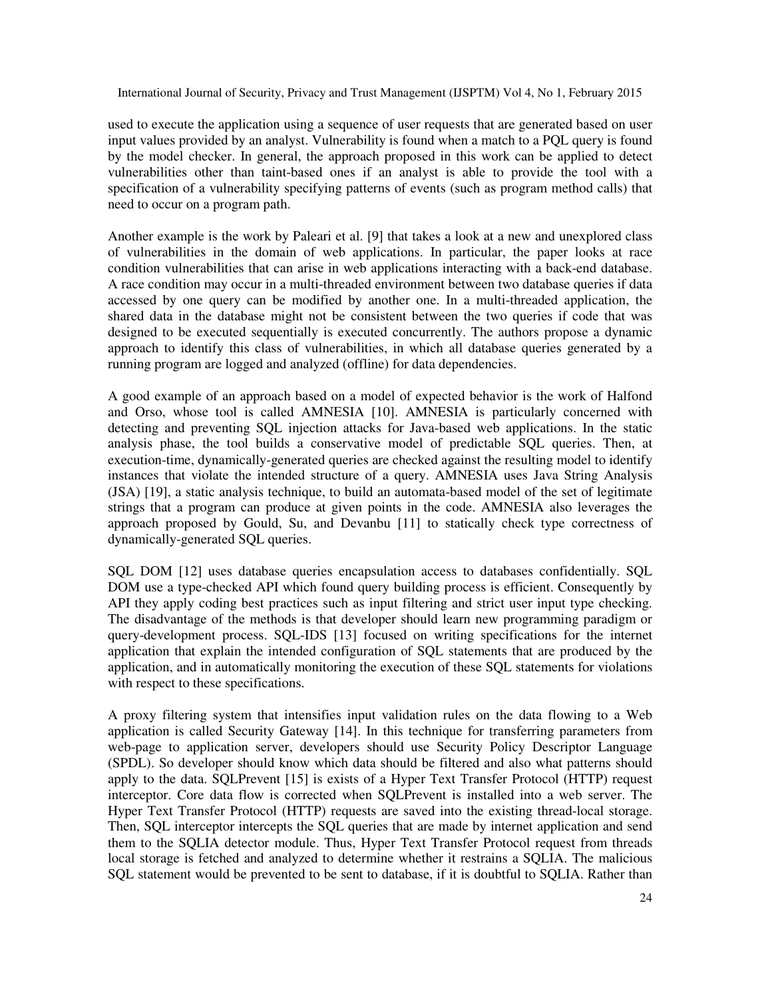used to execute the application using a sequence of user requests that are generated based on user input values provided by an analyst. Vulnerability is found when a match to a PQL query is found by the model checker. In general, the approach proposed in this work can be applied to detect vulnerabilities other than taint-based ones if an analyst is able to provide the tool with a specification of a vulnerability specifying patterns of events (such as program method calls) that need to occur on a program path.

Another example is the work by Paleari et al. [9] that takes a look at a new and unexplored class of vulnerabilities in the domain of web applications. In particular, the paper looks at race condition vulnerabilities that can arise in web applications interacting with a back-end database. A race condition may occur in a multi-threaded environment between two database queries if data accessed by one query can be modified by another one. In a multi-threaded application, the shared data in the database might not be consistent between the two queries if code that was designed to be executed sequentially is executed concurrently. The authors propose a dynamic approach to identify this class of vulnerabilities, in which all database queries generated by a running program are logged and analyzed (offline) for data dependencies.

A good example of an approach based on a model of expected behavior is the work of Halfond and Orso, whose tool is called AMNESIA [10]. AMNESIA is particularly concerned with detecting and preventing SQL injection attacks for Java-based web applications. In the static analysis phase, the tool builds a conservative model of predictable SQL queries. Then, at execution-time, dynamically-generated queries are checked against the resulting model to identify instances that violate the intended structure of a query. AMNESIA uses Java String Analysis (JSA) [19], a static analysis technique, to build an automata-based model of the set of legitimate strings that a program can produce at given points in the code. AMNESIA also leverages the approach proposed by Gould, Su, and Devanbu [11] to statically check type correctness of dynamically-generated SQL queries.

SQL DOM [12] uses database queries encapsulation access to databases confidentially. SQL DOM use a type-checked API which found query building process is efficient. Consequently by API they apply coding best practices such as input filtering and strict user input type checking. The disadvantage of the methods is that developer should learn new programming paradigm or query-development process. SQL-IDS [13] focused on writing specifications for the internet application that explain the intended configuration of SQL statements that are produced by the application, and in automatically monitoring the execution of these SQL statements for violations with respect to these specifications.

A proxy filtering system that intensifies input validation rules on the data flowing to a Web application is called Security Gateway [14]. In this technique for transferring parameters from web-page to application server, developers should use Security Policy Descriptor Language (SPDL). So developer should know which data should be filtered and also what patterns should apply to the data. SQLPrevent [15] is exists of a Hyper Text Transfer Protocol (HTTP) request interceptor. Core data flow is corrected when SQLPrevent is installed into a web server. The Hyper Text Transfer Protocol (HTTP) requests are saved into the existing thread-local storage. Then, SQL interceptor intercepts the SQL queries that are made by internet application and send them to the SQLIA detector module. Thus, Hyper Text Transfer Protocol request from threads local storage is fetched and analyzed to determine whether it restrains a SQLIA. The malicious SQL statement would be prevented to be sent to database, if it is doubtful to SQLIA. Rather than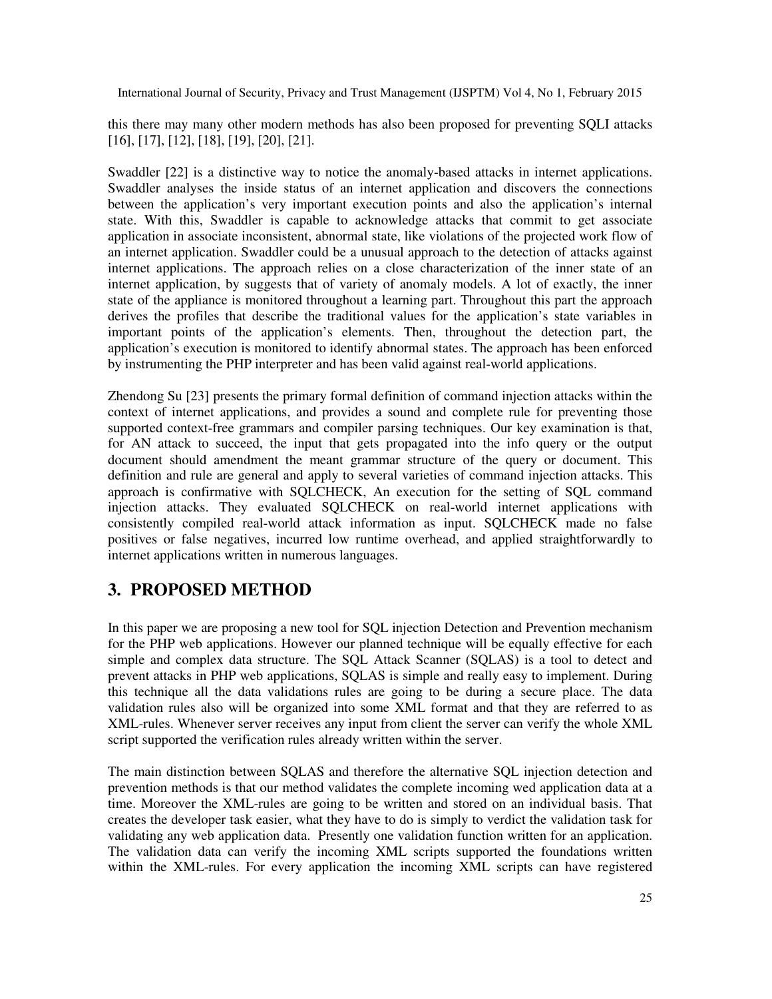this there may many other modern methods has also been proposed for preventing SQLI attacks [16], [17], [12], [18], [19], [20], [21].

Swaddler [22] is a distinctive way to notice the anomaly-based attacks in internet applications. Swaddler analyses the inside status of an internet application and discovers the connections between the application's very important execution points and also the application's internal state. With this, Swaddler is capable to acknowledge attacks that commit to get associate application in associate inconsistent, abnormal state, like violations of the projected work flow of an internet application. Swaddler could be a unusual approach to the detection of attacks against internet applications. The approach relies on a close characterization of the inner state of an internet application, by suggests that of variety of anomaly models. A lot of exactly, the inner state of the appliance is monitored throughout a learning part. Throughout this part the approach derives the profiles that describe the traditional values for the application's state variables in important points of the application's elements. Then, throughout the detection part, the application's execution is monitored to identify abnormal states. The approach has been enforced by instrumenting the PHP interpreter and has been valid against real-world applications.

Zhendong Su [23] presents the primary formal definition of command injection attacks within the context of internet applications, and provides a sound and complete rule for preventing those supported context-free grammars and compiler parsing techniques. Our key examination is that, for AN attack to succeed, the input that gets propagated into the info query or the output document should amendment the meant grammar structure of the query or document. This definition and rule are general and apply to several varieties of command injection attacks. This approach is confirmative with SQLCHECK, An execution for the setting of SQL command injection attacks. They evaluated SQLCHECK on real-world internet applications with consistently compiled real-world attack information as input. SQLCHECK made no false positives or false negatives, incurred low runtime overhead, and applied straightforwardly to internet applications written in numerous languages.

## **3. PROPOSED METHOD**

In this paper we are proposing a new tool for SQL injection Detection and Prevention mechanism for the PHP web applications. However our planned technique will be equally effective for each simple and complex data structure. The SQL Attack Scanner (SQLAS) is a tool to detect and prevent attacks in PHP web applications, SQLAS is simple and really easy to implement. During this technique all the data validations rules are going to be during a secure place. The data validation rules also will be organized into some XML format and that they are referred to as XML-rules. Whenever server receives any input from client the server can verify the whole XML script supported the verification rules already written within the server.

The main distinction between SQLAS and therefore the alternative SQL injection detection and prevention methods is that our method validates the complete incoming wed application data at a time. Moreover the XML-rules are going to be written and stored on an individual basis. That creates the developer task easier, what they have to do is simply to verdict the validation task for validating any web application data. Presently one validation function written for an application. The validation data can verify the incoming XML scripts supported the foundations written within the XML-rules. For every application the incoming XML scripts can have registered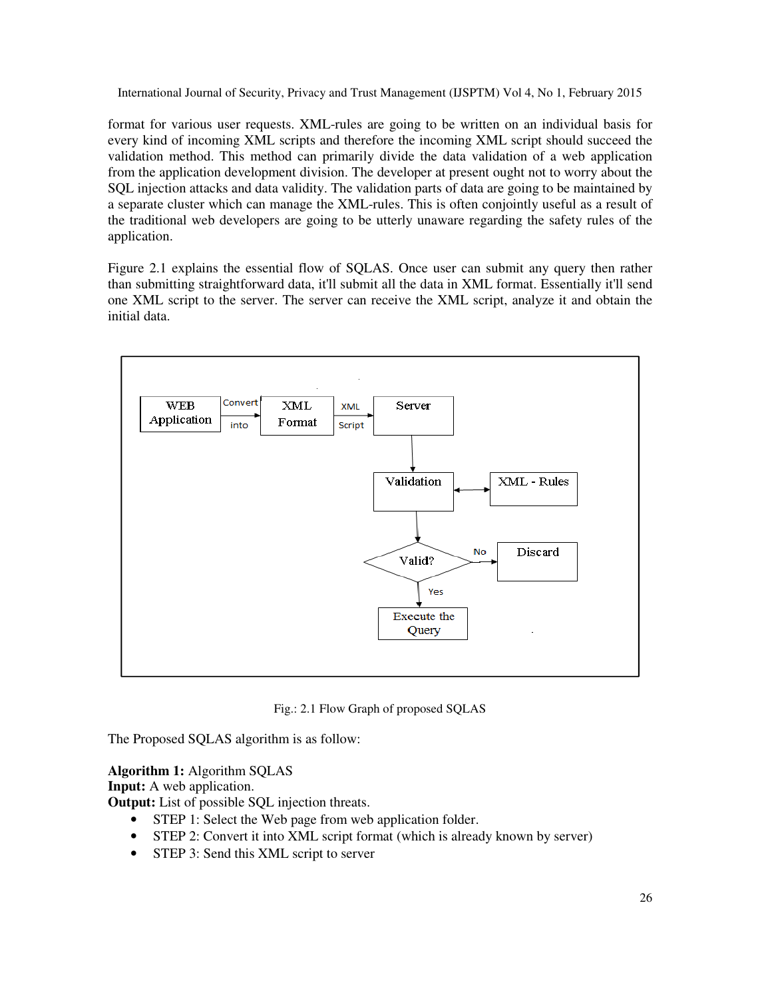format for various user requests. XML-rules are going to be written on an individual basis for every kind of incoming XML scripts and therefore the incoming XML script should succeed the validation method. This method can primarily divide the data validation of a web application from the application development division. The developer at present ought not to worry about the SQL injection attacks and data validity. The validation parts of data are going to be maintained by a separate cluster which can manage the XML-rules. This is often conjointly useful as a result of the traditional web developers are going to be utterly unaware regarding the safety rules of the application.

Figure 2.1 explains the essential flow of SQLAS. Once user can submit any query then rather than submitting straightforward data, it'll submit all the data in XML format. Essentially it'll send one XML script to the server. The server can receive the XML script, analyze it and obtain the initial data.



Fig.: 2.1 Flow Graph of proposed SQLAS

The Proposed SQLAS algorithm is as follow:

**Algorithm 1:** Algorithm SQLAS **Input:** A web application.

**Output:** List of possible SQL injection threats.

- STEP 1: Select the Web page from web application folder.
- STEP 2: Convert it into XML script format (which is already known by server)
- STEP 3: Send this XML script to server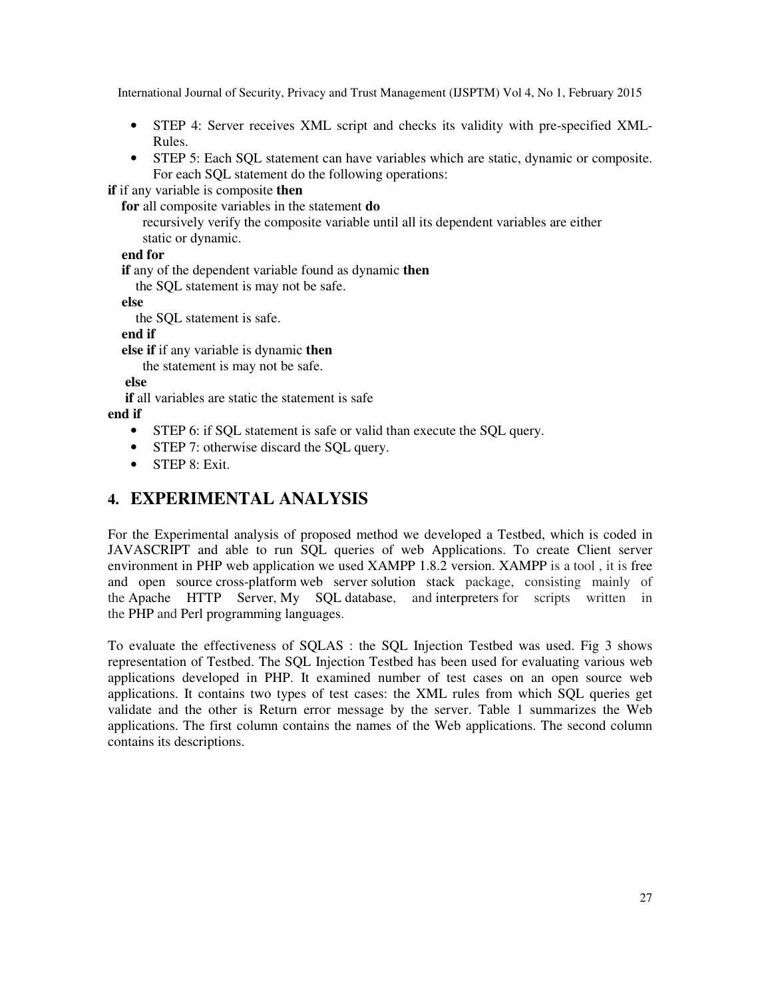- STEP 4: Server receives XML script and checks its validity with pre-specified XML-Rules.
- STEP 5: Each SOL statement can have variables which are static, dynamic or composite. For each SQL statement do the following operations:

**if** if any variable is composite **then**

**for** all composite variables in the statement **do**

 recursively verify the composite variable until all its dependent variables are either static or dynamic.

#### **end for**

 **if** any of the dependent variable found as dynamic **then**

the SQL statement is may not be safe.

**else** 

the SQL statement is safe.

**end if** 

**else if** if any variable is dynamic **then**

the statement is may not be safe.

**else** 

**if** all variables are static the statement is safe

**end if** 

- STEP 6: if SQL statement is safe or valid than execute the SQL query.
- STEP 7: otherwise discard the SQL query.
- STEP 8: Exit.

# **4. EXPERIMENTAL ANALYSIS**

For the Experimental analysis of proposed method we developed a Testbed, which is coded in JAVASCRIPT and able to run SQL queries of web Applications. To create Client server environment in PHP web application we used XAMPP 1.8.2 version. XAMPP is a tool , it is free and open source cross-platform web server solution stack package, consisting mainly of the Apache HTTP Server, My SQL database, and interpreters for scripts written in the PHP and Perl programming languages.

To evaluate the effectiveness of SQLAS : the SQL Injection Testbed was used. Fig 3 shows representation of Testbed. The SQL Injection Testbed has been used for evaluating various web applications developed in PHP. It examined number of test cases on an open source web applications. It contains two types of test cases: the XML rules from which SQL queries get validate and the other is Return error message by the server. Table 1 summarizes the Web applications. The first column contains the names of the Web applications. The second column contains its descriptions.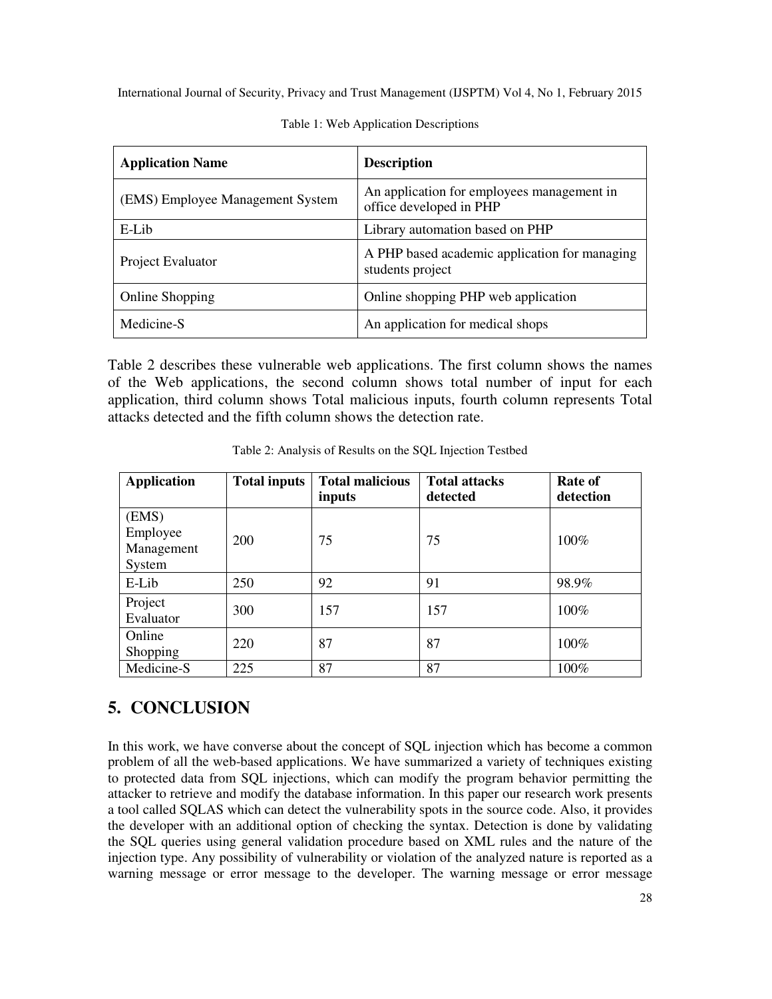| <b>Application Name</b>          | <b>Description</b>                                                    |  |
|----------------------------------|-----------------------------------------------------------------------|--|
| (EMS) Employee Management System | An application for employees management in<br>office developed in PHP |  |
| E-Lib                            | Library automation based on PHP                                       |  |
| Project Evaluator                | A PHP based academic application for managing<br>students project     |  |
| Online Shopping                  | Online shopping PHP web application                                   |  |
| Medicine-S                       | An application for medical shops                                      |  |

Table 1: Web Application Descriptions

Table 2 describes these vulnerable web applications. The first column shows the names of the Web applications, the second column shows total number of input for each application, third column shows Total malicious inputs, fourth column represents Total attacks detected and the fifth column shows the detection rate.

| <b>Application</b>                        | <b>Total inputs</b> | <b>Total malicious</b><br>inputs | <b>Total attacks</b><br>detected | Rate of<br>detection |
|-------------------------------------------|---------------------|----------------------------------|----------------------------------|----------------------|
| (EMS)<br>Employee<br>Management<br>System | 200                 | 75                               | 75                               | 100%                 |
| E-Lib                                     | 250                 | 92                               | 91                               | 98.9%                |
| Project<br>Evaluator                      | 300                 | 157                              | 157                              | 100%                 |
| Online<br>Shopping                        | 220                 | 87                               | 87                               | 100%                 |
| Medicine-S                                | 225                 | 87                               | 87                               | 100%                 |

Table 2: Analysis of Results on the SQL Injection Testbed

## **5. CONCLUSION**

In this work, we have converse about the concept of SQL injection which has become a common problem of all the web-based applications. We have summarized a variety of techniques existing to protected data from SQL injections, which can modify the program behavior permitting the attacker to retrieve and modify the database information. In this paper our research work presents a tool called SQLAS which can detect the vulnerability spots in the source code. Also, it provides the developer with an additional option of checking the syntax. Detection is done by validating the SQL queries using general validation procedure based on XML rules and the nature of the injection type. Any possibility of vulnerability or violation of the analyzed nature is reported as a warning message or error message to the developer. The warning message or error message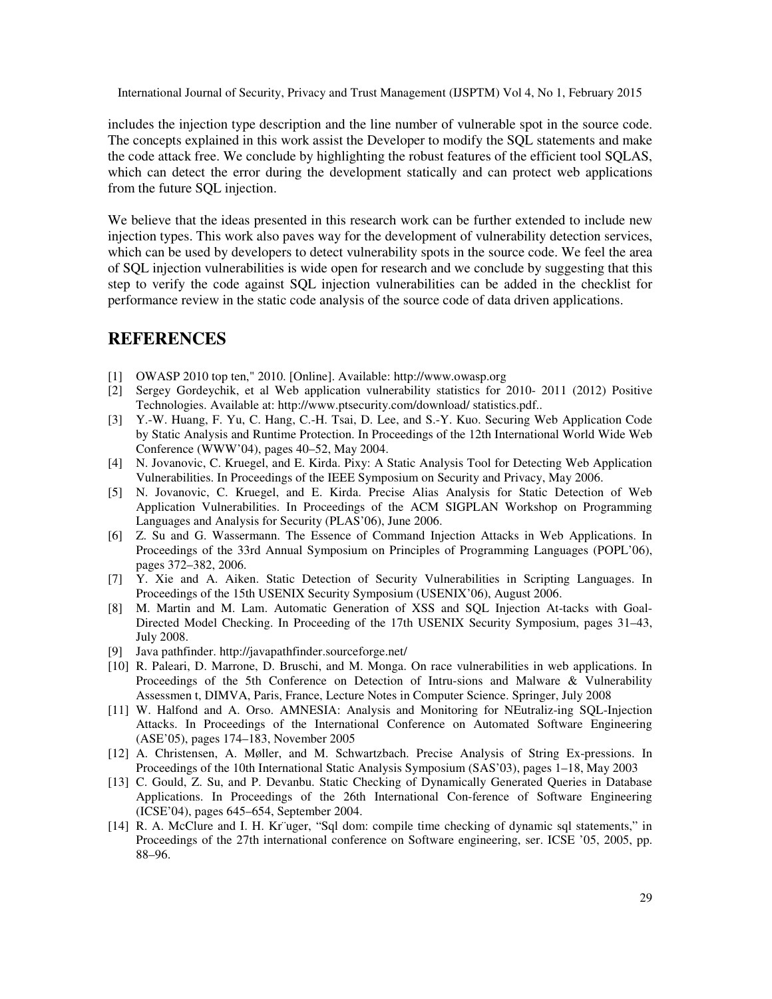includes the injection type description and the line number of vulnerable spot in the source code. The concepts explained in this work assist the Developer to modify the SQL statements and make the code attack free. We conclude by highlighting the robust features of the efficient tool SQLAS, which can detect the error during the development statically and can protect web applications from the future SQL injection.

We believe that the ideas presented in this research work can be further extended to include new injection types. This work also paves way for the development of vulnerability detection services, which can be used by developers to detect vulnerability spots in the source code. We feel the area of SQL injection vulnerabilities is wide open for research and we conclude by suggesting that this step to verify the code against SQL injection vulnerabilities can be added in the checklist for performance review in the static code analysis of the source code of data driven applications.

#### **REFERENCES**

- [1] OWASP 2010 top ten," 2010. [Online]. Available: http://www.owasp.org
- [2] Sergey Gordeychik, et al Web application vulnerability statistics for 2010- 2011 (2012) Positive Technologies. Available at: http://www.ptsecurity.com/download/ statistics.pdf..
- [3] Y.-W. Huang, F. Yu, C. Hang, C.-H. Tsai, D. Lee, and S.-Y. Kuo. Securing Web Application Code by Static Analysis and Runtime Protection. In Proceedings of the 12th International World Wide Web Conference (WWW'04), pages 40–52, May 2004.
- [4] N. Jovanovic, C. Kruegel, and E. Kirda. Pixy: A Static Analysis Tool for Detecting Web Application Vulnerabilities. In Proceedings of the IEEE Symposium on Security and Privacy, May 2006.
- [5] N. Jovanovic, C. Kruegel, and E. Kirda. Precise Alias Analysis for Static Detection of Web Application Vulnerabilities. In Proceedings of the ACM SIGPLAN Workshop on Programming Languages and Analysis for Security (PLAS'06), June 2006.
- [6] Z. Su and G. Wassermann. The Essence of Command Injection Attacks in Web Applications. In Proceedings of the 33rd Annual Symposium on Principles of Programming Languages (POPL'06), pages 372–382, 2006.
- [7] Y. Xie and A. Aiken. Static Detection of Security Vulnerabilities in Scripting Languages. In Proceedings of the 15th USENIX Security Symposium (USENIX'06), August 2006.
- [8] M. Martin and M. Lam. Automatic Generation of XSS and SQL Injection At-tacks with Goal-Directed Model Checking. In Proceeding of the 17th USENIX Security Symposium, pages 31–43, July 2008.
- [9] Java pathfinder. http://javapathfinder.sourceforge.net/
- [10] R. Paleari, D. Marrone, D. Bruschi, and M. Monga. On race vulnerabilities in web applications. In Proceedings of the 5th Conference on Detection of Intru-sions and Malware & Vulnerability Assessmen t, DIMVA, Paris, France, Lecture Notes in Computer Science. Springer, July 2008
- [11] W. Halfond and A. Orso. AMNESIA: Analysis and Monitoring for NEutraliz-ing SQL-Injection Attacks. In Proceedings of the International Conference on Automated Software Engineering (ASE'05), pages 174–183, November 2005
- [12] A. Christensen, A. Møller, and M. Schwartzbach. Precise Analysis of String Ex-pressions. In Proceedings of the 10th International Static Analysis Symposium (SAS'03), pages 1–18, May 2003
- [13] C. Gould, Z. Su, and P. Devanbu. Static Checking of Dynamically Generated Queries in Database Applications. In Proceedings of the 26th International Con-ference of Software Engineering (ICSE'04), pages 645–654, September 2004.
- [14] R. A. McClure and I. H. Kr¨uger, "Sql dom: compile time checking of dynamic sql statements," in Proceedings of the 27th international conference on Software engineering, ser. ICSE '05, 2005, pp. 88–96.